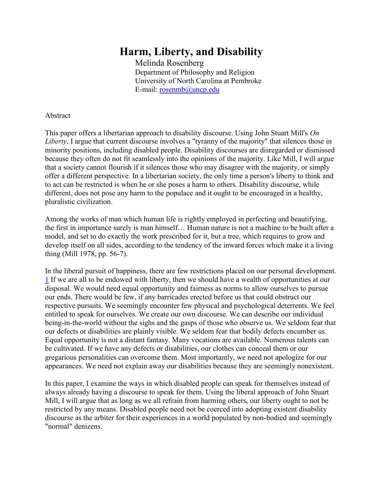## **Harm, Liberty, and Disability**

Melinda Rosenberg Department of Philosophy and Religion University of North Carolina at Pembroke E-mail: [rosenmb@uncp.edu](mailto:rosenmb@uncp.edu)

## Abstract

This paper offers a libertarian approach to disability discourse. Using John Stuart Mill's *On Liberty*, I argue that current discourse involves a "tyranny of the majority" that silences those in minority positions, including disabled people. Disability discourses are disregarded or dismissed because they often do not fit seamlessly into the opinions of the majority. Like Mill, I will argue that a society cannot flourish if it silences those who may disagree with the majority, or simply offer a different perspective. In a libertarian society, the only time a person's liberty to think and to act can be restricted is when he or she poses a harm to others. Disability discourse, while different, does not pose any harm to the populace and it ought to be encouraged in a healthy, pluralistic civilization.

Among the works of man which human life is rightly employed in perfecting and beautifying, the first in importance surely is man himself… Human nature is not a machine to be built after a model, and set to do exactly the work prescribed for it, but a tree, which requires to grow and develop itself on all sides, according to the tendency of the inward forces which make it a living thing (Mill 1978, pp. 56-7).

In the liberal pursuit of happiness, there are few restrictions placed on our personal development. [1](http://dsq-sds.org/article/view/937/1110#endnote01) If we are all to be endowed with liberty, then we should have a wealth of opportunities at our disposal. We would need equal opportunity and fairness as norms to allow ourselves to pursue our ends. There would be few, if any barricades erected before us that could obstruct our respective pursuits. We seemingly encounter few physical and psychological deterrents. We feel entitled to speak for ourselves. We create our own discourse. We can describe our individual being-in-the-world without the sighs and the gasps of those who observe us. We seldom fear that our defects or disabilities are plainly visible. We seldom fear that bodily defects encumber us. Equal opportunity is not a distant fantasy. Many vocations are available. Numerous talents can be cultivated. If we have any defects or disabilities, our clothes can conceal them or our gregarious personalities can overcome them. Most importantly, we need not apologize for our appearances. We need not explain away our disabilities because they are seemingly nonexistent.

In this paper, I examine the ways in which disabled people can speak for themselves instead of always already having a discourse to speak for them. Using the liberal approach of John Stuart Mill, I will argue that as long as we all refrain from harming others, our liberty ought to not be restricted by any means. Disabled people need not be coerced into adopting existent disability discourse as the arbiter for their experiences in a world populated by non-bodied and seemingly "normal" denizens.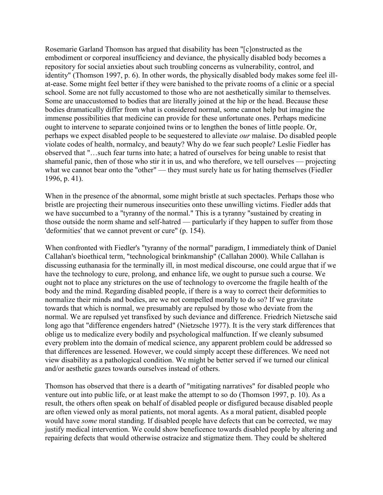Rosemarie Garland Thomson has argued that disability has been "[c]onstructed as the embodiment or corporeal insufficiency and deviance, the physically disabled body becomes a repository for social anxieties about such troubling concerns as vulnerability, control, and identity" (Thomson 1997, p. 6). In other words, the physically disabled body makes some feel illat-ease. Some might feel better if they were banished to the private rooms of a clinic or a special school. Some are not fully accustomed to those who are not aesthetically similar to themselves. Some are unaccustomed to bodies that are literally joined at the hip or the head. Because these bodies dramatically differ from what is considered normal, some cannot help but imagine the immense possibilities that medicine can provide for these unfortunate ones. Perhaps medicine ought to intervene to separate conjoined twins or to lengthen the bones of little people. Or, perhaps we expect disabled people to be sequestered to alleviate *our* malaise. Do disabled people violate codes of health, normalcy, and beauty? Why do we fear such people? Leslie Fiedler has observed that "…such fear turns into hate; a hatred of ourselves for being unable to resist that shameful panic, then of those who stir it in us, and who therefore, we tell ourselves — projecting what we cannot bear onto the "other" — they must surely hate us for hating themselves (Fiedler 1996, p. 41).

When in the presence of the abnormal, some might bristle at such spectacles. Perhaps those who bristle are projecting their numerous insecurities onto these unwilling victims. Fiedler adds that we have succumbed to a "tyranny of the normal." This is a tyranny "sustained by creating in those outside the norm shame and self-hatred — particularly if they happen to suffer from those 'deformities' that we cannot prevent or cure" (p. 154).

When confronted with Fiedler's "tyranny of the normal" paradigm, I immediately think of Daniel Callahan's bioethical term, "technological brinkmanship" (Callahan 2000). While Callahan is discussing euthanasia for the terminally ill, in most medical discourse, one could argue that if we have the technology to cure, prolong, and enhance life, we ought to pursue such a course. We ought not to place any strictures on the use of technology to overcome the fragile health of the body and the mind. Regarding disabled people, if there is a way to correct their deformities to normalize their minds and bodies, are we not compelled morally to do so? If we gravitate towards that which is normal, we presumably are repulsed by those who deviate from the normal. We are repulsed yet transfixed by such deviance and difference. Friedrich Nietzsche said long ago that "difference engenders hatred" (Nietzsche 1977). It is the very stark differences that oblige us to medicalize every bodily and psychological malfunction. If we cleanly subsumed every problem into the domain of medical science, any apparent problem could be addressed so that differences are lessened. However, we could simply accept these differences. We need not view disability as a pathological condition. We might be better served if we turned our clinical and/or aesthetic gazes towards ourselves instead of others.

Thomson has observed that there is a dearth of "mitigating narratives" for disabled people who venture out into public life, or at least make the attempt to so do (Thomson 1997, p. 10). As a result, the others often speak on behalf of disabled people or disfigured because disabled people are often viewed only as moral patients, not moral agents. As a moral patient, disabled people would have *some* moral standing. If disabled people have defects that can be corrected, we may justify medical intervention. We could show beneficence towards disabled people by altering and repairing defects that would otherwise ostracize and stigmatize them. They could be sheltered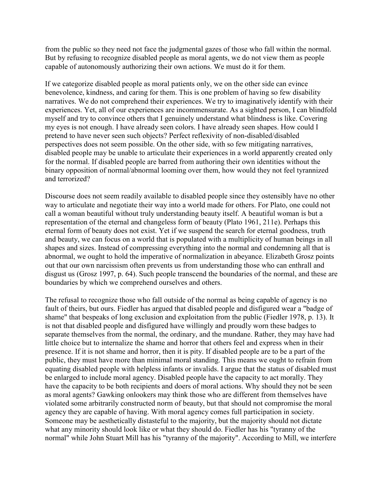from the public so they need not face the judgmental gazes of those who fall within the normal. But by refusing to recognize disabled people as moral agents, we do not view them as people capable of autonomously authorizing their own actions. We must do it for them.

If we categorize disabled people as moral patients only, we on the other side can evince benevolence, kindness, and caring for them. This is one problem of having so few disability narratives. We do not comprehend their experiences. We try to imaginatively identify with their experiences. Yet, all of our experiences are incommensurate. As a sighted person, I can blindfold myself and try to convince others that I genuinely understand what blindness is like. Covering my eyes is not enough. I have already seen colors. I have already seen shapes. How could I pretend to have never seen such objects? Perfect reflexivity of non-disabled/disabled perspectives does not seem possible. On the other side, with so few mitigating narratives, disabled people may be unable to articulate their experiences in a world apparently created only for the normal. If disabled people are barred from authoring their own identities without the binary opposition of normal/abnormal looming over them, how would they not feel tyrannized and terrorized?

Discourse does not seem readily available to disabled people since they ostensibly have no other way to articulate and negotiate their way into a world made for others. For Plato, one could not call a woman beautiful without truly understanding beauty itself. A beautiful woman is but a representation of the eternal and changeless form of beauty (Plato 1961, 211e). Perhaps this eternal form of beauty does not exist. Yet if we suspend the search for eternal goodness, truth and beauty, we can focus on a world that is populated with a multiplicity of human beings in all shapes and sizes. Instead of compressing everything into the normal and condemning all that is abnormal, we ought to hold the imperative of normalization in abeyance. Elizabeth Grosz points out that our own narcissism often prevents us from understanding those who can enthrall and disgust us (Grosz 1997, p. 64). Such people transcend the boundaries of the normal, and these are boundaries by which we comprehend ourselves and others.

The refusal to recognize those who fall outside of the normal as being capable of agency is no fault of theirs, but ours. Fiedler has argued that disabled people and disfigured wear a "badge of shame" that bespeaks of long exclusion and exploitation from the public (Fiedler 1978, p. 13). It is not that disabled people and disfigured have willingly and proudly worn these badges to separate themselves from the normal, the ordinary, and the mundane. Rather, they may have had little choice but to internalize the shame and horror that others feel and express when in their presence. If it is not shame and horror, then it is pity. If disabled people are to be a part of the public, they must have more than minimal moral standing. This means we ought to refrain from equating disabled people with helpless infants or invalids. I argue that the status of disabled must be enlarged to include moral agency. Disabled people have the capacity to act morally. They have the capacity to be both recipients and doers of moral actions. Why should they not be seen as moral agents? Gawking onlookers may think those who are different from themselves have violated some arbitrarily constructed norm of beauty, but that should not compromise the moral agency they are capable of having. With moral agency comes full participation in society. Someone may be aesthetically distasteful to the majority, but the majority should not dictate what any minority should look like or what they should do. Fiedler has his "tyranny of the normal" while John Stuart Mill has his "tyranny of the majority". According to Mill, we interfere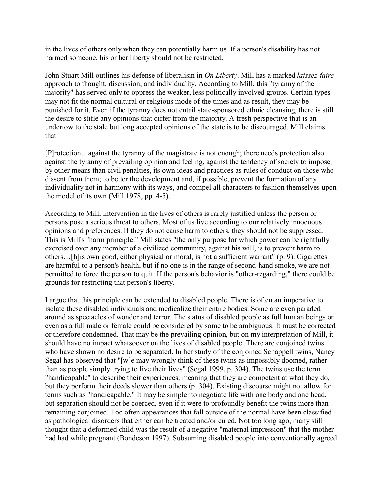in the lives of others only when they can potentially harm us. If a person's disability has not harmed someone, his or her liberty should not be restricted.

John Stuart Mill outlines his defense of liberalism in *On Liberty*. Mill has a marked *laissez-faire* approach to thought, discussion, and individuality. According to Mill, this "tyranny of the majority" has served only to oppress the weaker, less politically involved groups. Certain types may not fit the normal cultural or religious mode of the times and as result, they may be punished for it. Even if the tyranny does not entail state-sponsored ethnic cleansing, there is still the desire to stifle any opinions that differ from the majority. A fresh perspective that is an undertow to the stale but long accepted opinions of the state is to be discouraged. Mill claims that

[P]rotection…against the tyranny of the magistrate is not enough; there needs protection also against the tyranny of prevailing opinion and feeling, against the tendency of society to impose, by other means than civil penalties, its own ideas and practices as rules of conduct on those who dissent from them; to better the development and, if possible, prevent the formation of any individuality not in harmony with its ways, and compel all characters to fashion themselves upon the model of its own (Mill 1978, pp. 4-5).

According to Mill, intervention in the lives of others is rarely justified unless the person or persons pose a serious threat to others. Most of us live according to our relatively innocuous opinions and preferences. If they do not cause harm to others, they should not be suppressed. This is Mill's "harm principle." Mill states "the only purpose for which power can be rightfully exercised over any member of a civilized community, against his will, is to prevent harm to others…[h]is own good, either physical or moral, is not a sufficient warrant" (p. 9). Cigarettes are harmful to a person's health, but if no one is in the range of second-hand smoke, we are not permitted to force the person to quit. If the person's behavior is "other-regarding," there could be grounds for restricting that person's liberty.

I argue that this principle can be extended to disabled people. There is often an imperative to isolate these disabled individuals and medicalize their entire bodies. Some are even paraded around as spectacles of wonder and terror. The status of disabled people as full human beings or even as a full male or female could be considered by some to be ambiguous. It must be corrected or therefore condemned. That may be the prevailing opinion, but on my interpretation of Mill, it should have no impact whatsoever on the lives of disabled people. There are conjoined twins who have shown no desire to be separated. In her study of the conjoined Schappell twins, Nancy Segal has observed that "[w]e may wrongly think of these twins as impossibly doomed, rather than as people simply trying to live their lives" (Segal 1999, p. 304). The twins use the term "handicapable" to describe their experiences, meaning that they are competent at what they do, but they perform their deeds slower than others (p. 304). Existing discourse might not allow for terms such as "handicapable." It may be simpler to negotiate life with one body and one head, but separation should not be coerced, even if it were to profoundly benefit the twins more than remaining conjoined. Too often appearances that fall outside of the normal have been classified as pathological disorders that either can be treated and/or cured. Not too long ago, many still thought that a deformed child was the result of a negative "maternal impression" that the mother had had while pregnant (Bondeson 1997). Subsuming disabled people into conventionally agreed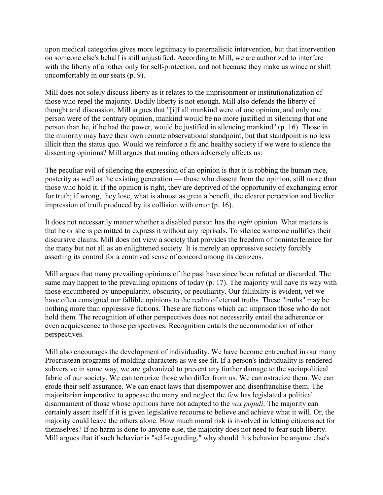upon medical categories gives more legitimacy to paternalistic intervention, but that intervention on someone else's behalf is still unjustified. According to Mill, we are authorized to interfere with the liberty of another only for self-protection, and not because they make us wince or shift uncomfortably in our seats (p. 9).

Mill does not solely discuss liberty as it relates to the imprisonment or institutionalization of those who repel the majority. Bodily liberty is not enough. Mill also defends the liberty of thought and discussion. Mill argues that "[i]f all mankind were of one opinion, and only one person were of the contrary opinion, mankind would be no more justified in silencing that one person than he, if he had the power, would be justified in silencing mankind" (p. 16). Those in the minority may have their own remote observational standpoint, but that standpoint is no less illicit than the status quo. Would we reinforce a fit and healthy society if we were to silence the dissenting opinions? Mill argues that muting others adversely affects us:

The peculiar evil of silencing the expression of an opinion is that it is robbing the human race, posterity as well as the existing generation — those who dissent from the opinion, still more than those who hold it. If the opinion is right, they are deprived of the opportunity of exchanging error for truth; if wrong, they lose, what is almost as great a benefit, the clearer perception and livelier impression of truth produced by its collision with error (p. 16).

It does not necessarily matter whether a disabled person has the *right* opinion. What matters is that he or she is permitted to express it without any reprisals. To silence someone nullifies their discursive claims. Mill does not view a society that provides the freedom of noninterference for the many but not all as an enlightened society. It is merely an oppressive society forcibly asserting its control for a contrived sense of concord among its denizens.

Mill argues that many prevailing opinions of the past have since been refuted or discarded. The same may happen to the prevailing opinions of today (p. 17). The majority will have its way with those encumbered by unpopularity, obscurity, or peculiarity. Our fallibility is evident, yet we have often consigned our fallible opinions to the realm of eternal truths. These "truths" may be nothing more than oppressive fictions. These are fictions which can imprison those who do not hold them. The recognition of other perspectives does not necessarily entail the adherence or even acquiescence to those perspectives. Recognition entails the accommodation of other perspectives.

Mill also encourages the development of individuality. We have become entrenched in our many Procrustean programs of molding characters as we see fit. If a person's individuality is rendered subversive in some way, we are galvanized to prevent any further damage to the sociopolitical fabric of our society. We can terrorize those who differ from us. We can ostracize them. We can erode their self-assurance. We can enact laws that disempower and disenfranchise them. The majoritarian imperative to appease the many and neglect the few has legislated a political disarmament of those whose opinions have not adapted to the *vox populi*. The majority can certainly assert itself if it is given legislative recourse to believe and achieve what it will. Or, the majority could leave the others alone. How much moral risk is involved in letting citizens act for themselves? If no harm is done to anyone else, the majority does not need to fear such liberty. Mill argues that if such behavior is "self-regarding," why should this behavior be anyone else's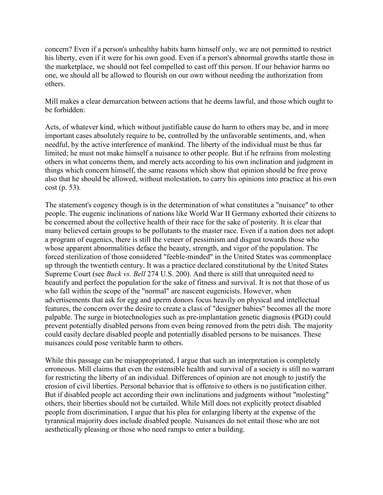concern? Even if a person's unhealthy habits harm himself only, we are not permitted to restrict his liberty, even if it were for his own good. Even if a person's abnormal growths startle those in the marketplace, we should not feel compelled to cast off this person. If our behavior harms no one, we should all be allowed to flourish on our own without needing the authorization from others.

Mill makes a clear demarcation between actions that he deems lawful, and those which ought to be forbidden:

Acts, of whatever kind, which without justifiable cause do harm to others may be, and in more important cases absolutely require to be, controlled by the unfavorable sentiments, and, when needful, by the active interference of mankind. The liberty of the individual must be thus far limited; he must not make himself a nuisance to other people. But if he refrains from molesting others in what concerns them, and merely acts according to his own inclination and judgment in things which concern himself, the same reasons which show that opinion should be free prove also that he should be allowed, without molestation, to carry his opinions into practice at his own cost (p. 53).

The statement's cogency though is in the determination of what constitutes a "nuisance" to other people. The eugenic inclinations of nations like World War II Germany exhorted their citizens to be concerned about the collective health of their race for the sake of posterity. It is clear that many believed certain groups to be pollutants to the master race. Even if a nation does not adopt a program of eugenics, there is still the veneer of pessimism and disgust towards those who whose apparent abnormalities deface the beauty, strength, and vigor of the population. The forced sterilization of those considered "feeble-minded" in the United States was commonplace up through the twentieth century. It was a practice declared constitutional by the United States Supreme Court (see *Buck vs. Bell* 274 U.S. 200). And there is still that unrequited need to beautify and perfect the population for the sake of fitness and survival. It is not that those of us who fall within the scope of the "normal" are nascent eugenicists. However, when advertisements that ask for egg and sperm donors focus heavily on physical and intellectual features, the concern over the desire to create a class of "designer babies" becomes all the more palpable. The surge in biotechnologies such as pre-implantation genetic diagnosis (PGD) could prevent potentially disabled persons from even being removed from the petri dish. The majority could easily declare disabled people and potentially disabled persons to be nuisances. These nuisances could pose veritable harm to others.

While this passage can be misappropriated, I argue that such an interpretation is completely erroneous. Mill claims that even the ostensible health and survival of a society is still no warrant for restricting the liberty of an individual. Differences of opinion are not enough to justify the erosion of civil liberties. Personal behavior that is offensive to others is no justification either. But if disabled people act according their own inclinations and judgments without "molesting" others, their liberties should not be curtailed. While Mill does not explicitly protect disabled people from discrimination, I argue that his plea for enlarging liberty at the expense of the tyrannical majority does include disabled people. Nuisances do not entail those who are not aesthetically pleasing or those who need ramps to enter a building.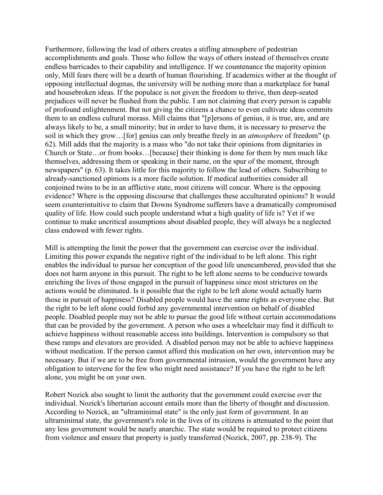Furthermore, following the lead of others creates a stifling atmosphere of pedestrian accomplishments and goals. Those who follow the ways of others instead of themselves create endless barricades to their capability and intelligence. If we countenance the majority opinion only, Mill fears there will be a dearth of human flourishing. If academics wither at the thought of opposing intellectual dogmas, the university will be nothing more than a marketplace for banal and housebroken ideas. If the populace is not given the freedom to thrive, then deep-seated prejudices will never be flushed from the public. I am not claiming that every person is capable of profound enlightenment. But not giving the citizens a chance to even cultivate ideas commits them to an endless cultural morass. Mill claims that "[p]ersons of genius, it is true, are, and are always likely to be, a small minority; but in order to have them, it is necessary to preserve the soil in which they grow…[for] genius can only breathe freely in an *atmosphere* of freedom" (p. 62). Mill adds that the majority is a mass who "do not take their opinions from dignitaries in Church or State…or from books…[because] their thinking is done for them by men much like themselves, addressing them or speaking in their name, on the spur of the moment, through newspapers" (p. 63). It takes little for this majority to follow the lead of others. Subscribing to already-sanctioned opinions is a more facile solution. If medical authorities consider all conjoined twins to be in an afflictive state, most citizens will concur. Where is the opposing evidence? Where is the opposing discourse that challenges these acculturated opinions? It would seem counterintuitive to claim that Downs Syndrome sufferers have a dramatically compromised quality of life. How could such people understand what a high quality of life is? Yet if we continue to make uncritical assumptions about disabled people, they will always be a neglected class endowed with fewer rights.

Mill is attempting the limit the power that the government can exercise over the individual. Limiting this power expands the negative right of the individual to be left alone. This right enables the individual to pursue her conception of the good life unencumbered, provided that she does not harm anyone in this pursuit. The right to be left alone seems to be conducive towards enriching the lives of those engaged in the pursuit of happiness since most strictures on the actions would be eliminated. Is it possible that the right to be left alone would actually harm those in pursuit of happiness? Disabled people would have the same rights as everyone else. But the right to be left alone could forbid any governmental intervention on behalf of disabled people. Disabled people may not be able to pursue the good life without certain accommodations that can be provided by the government. A person who uses a wheelchair may find it difficult to achieve happiness without reasonable access into buildings. Intervention is compulsory so that these ramps and elevators are provided. A disabled person may not be able to achieve happiness without medication. If the person cannot afford this medication on her own, intervention may be necessary. But if we are to be free from governmental intrusion, would the government have any obligation to intervene for the few who might need assistance? If you have the right to be left alone, you might be on your own.

Robert Nozick also sought to limit the authority that the government could exercise over the individual. Nozick's libertarian account entails more than the liberty of thought and discussion. According to Nozick, an "ultraminimal state" is the only just form of government. In an ultraminimal state, the government's role in the lives of its citizens is attenuated to the point that any less government would be nearly anarchic. The state would be required to protect citizens from violence and ensure that property is justly transferred (Nozick, 2007, pp. 238-9). The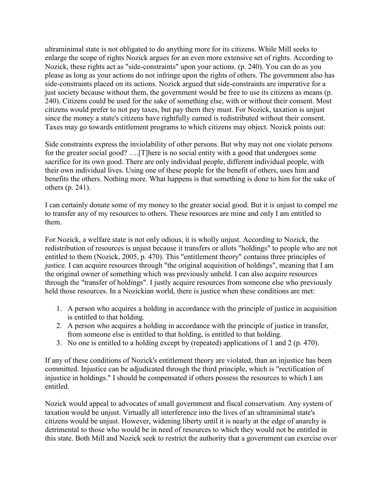ultraminimal state is not obligated to do anything more for its citizens. While Mill seeks to enlarge the scope of rights Nozick argues for an even more extensive set of rights. According to Nozick, these rights act as "side-constraints" upon your actions. (p. 240). You can do as you please as long as your actions do not infringe upon the rights of others. The government also has side-constraints placed on its actions. Nozick argued that side-constraints are imperative for a just society because without them, the government would be free to use its citizens as means (p. 240). Citizens could be used for the sake of something else, with or without their consent. Most citizens would prefer to not pay taxes, but pay them they must. For Nozick, taxation is unjust since the money a state's citizens have rightfully earned is redistributed without their consent. Taxes may go towards entitlement programs to which citizens may object. Nozick points out:

Side constraints express the inviolability of other persons. But why may not one violate persons for the greater social good? ….[T]here is no social entity with a good that undergoes some sacrifice for its own good. There are only individual people, different individual people, with their own individual lives. Using one of these people for the benefit of others, uses him and benefits the others. Nothing more. What happens is that something is done to him for the sake of others (p. 241).

I can certainly donate some of my money to the greater social good. But it is unjust to compel me to transfer any of my resources to others. These resources are mine and only I am entitled to them.

For Nozick, a welfare state is not only odious, it is wholly unjust. According to Nozick, the redistribution of resources is unjust because it transfers or allots "holdings" to people who are not entitled to them (Nozick, 2005, p. 470). This "entitlement theory" contains three principles of justice. I can acquire resources through "the original acquisition of holdings", meaning that I am the original owner of something which was previously unheld. I can also acquire resources through the "transfer of holdings". I justly acquire resources from someone else who previously held those resources. In a Nozickian world, there is justice when these conditions are met:

- 1. A person who acquires a holding in accordance with the principle of justice in acquisition is entitled to that holding.
- 2. A person who acquires a holding in accordance with the principle of justice in transfer, from someone else is entitled to that holding, is entitled to that holding.
- 3. No one is entitled to a holding except by (repeated) applications of 1 and 2 (p. 470).

If any of these conditions of Nozick's entitlement theory are violated, than an injustice has been committed. Injustice can be adjudicated through the third principle, which is "rectification of injustice in holdings." I should be compensated if others possess the resources to which I am entitled.

Nozick would appeal to advocates of small government and fiscal conservatism. Any system of taxation would be unjust. Virtually all interference into the lives of an ultraminimal state's citizens would be unjust. However, widening liberty until it is nearly at the edge of anarchy is detrimental to those who would be in need of resources to which they would not be entitled in this state. Both Mill and Nozick seek to restrict the authority that a government can exercise over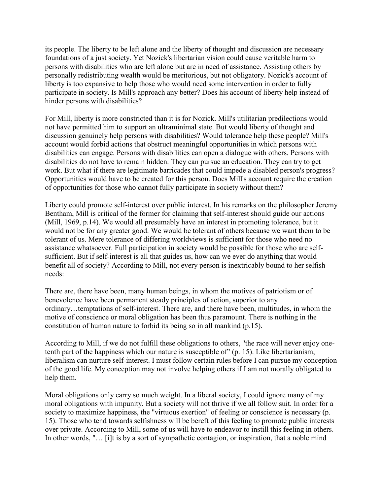its people. The liberty to be left alone and the liberty of thought and discussion are necessary foundations of a just society. Yet Nozick's libertarian vision could cause veritable harm to persons with disabilities who are left alone but are in need of assistance. Assisting others by personally redistributing wealth would be meritorious, but not obligatory. Nozick's account of liberty is too expansive to help those who would need some intervention in order to fully participate in society. Is Mill's approach any better? Does his account of liberty help instead of hinder persons with disabilities?

For Mill, liberty is more constricted than it is for Nozick. Mill's utilitarian predilections would not have permitted him to support an ultraminimal state. But would liberty of thought and discussion genuinely help persons with disabilities? Would tolerance help these people? Mill's account would forbid actions that obstruct meaningful opportunities in which persons with disabilities can engage. Persons with disabilities can open a dialogue with others. Persons with disabilities do not have to remain hidden. They can pursue an education. They can try to get work. But what if there are legitimate barricades that could impede a disabled person's progress? Opportunities would have to be created for this person. Does Mill's account require the creation of opportunities for those who cannot fully participate in society without them?

Liberty could promote self-interest over public interest. In his remarks on the philosopher Jeremy Bentham, Mill is critical of the former for claiming that self-interest should guide our actions (Mill, 1969, p.14). We would all presumably have an interest in promoting tolerance, but it would not be for any greater good. We would be tolerant of others because we want them to be tolerant of us. Mere tolerance of differing worldviews is sufficient for those who need no assistance whatsoever. Full participation in society would be possible for those who are selfsufficient. But if self-interest is all that guides us, how can we ever do anything that would benefit all of society? According to Mill, not every person is inextricably bound to her selfish needs:

There are, there have been, many human beings, in whom the motives of patriotism or of benevolence have been permanent steady principles of action, superior to any ordinary…temptations of self-interest. There are, and there have been, multitudes, in whom the motive of conscience or moral obligation has been thus paramount. There is nothing in the constitution of human nature to forbid its being so in all mankind (p.15).

According to Mill, if we do not fulfill these obligations to others, "the race will never enjoy onetenth part of the happiness which our nature is susceptible of" (p. 15). Like libertarianism, liberalism can nurture self-interest. I must follow certain rules before I can pursue my conception of the good life. My conception may not involve helping others if I am not morally obligated to help them.

Moral obligations only carry so much weight. In a liberal society, I could ignore many of my moral obligations with impunity. But a society will not thrive if we all follow suit. In order for a society to maximize happiness, the "virtuous exertion" of feeling or conscience is necessary (p. 15). Those who tend towards selfishness will be bereft of this feeling to promote public interests over private. According to Mill, some of us will have to endeavor to instill this feeling in others. In other words, "… [i]t is by a sort of sympathetic contagion, or inspiration, that a noble mind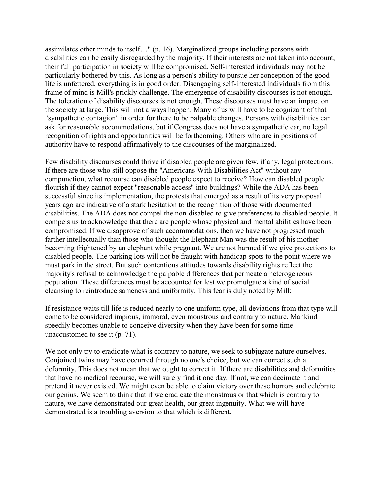assimilates other minds to itself…" (p. 16). Marginalized groups including persons with disabilities can be easily disregarded by the majority. If their interests are not taken into account, their full participation in society will be compromised. Self-interested individuals may not be particularly bothered by this. As long as a person's ability to pursue her conception of the good life is unfettered, everything is in good order. Disengaging self-interested individuals from this frame of mind is Mill's prickly challenge. The emergence of disability discourses is not enough. The toleration of disability discourses is not enough. These discourses must have an impact on the society at large. This will not always happen. Many of us will have to be cognizant of that "sympathetic contagion" in order for there to be palpable changes. Persons with disabilities can ask for reasonable accommodations, but if Congress does not have a sympathetic ear, no legal recognition of rights and opportunities will be forthcoming. Others who are in positions of authority have to respond affirmatively to the discourses of the marginalized.

Few disability discourses could thrive if disabled people are given few, if any, legal protections. If there are those who still oppose the "Americans With Disabilities Act" without any compunction, what recourse can disabled people expect to receive? How can disabled people flourish if they cannot expect "reasonable access" into buildings? While the ADA has been successful since its implementation, the protests that emerged as a result of its very proposal years ago are indicative of a stark hesitation to the recognition of those with documented disabilities. The ADA does not compel the non-disabled to give preferences to disabled people. It compels us to acknowledge that there are people whose physical and mental abilities have been compromised. If we disapprove of such accommodations, then we have not progressed much farther intellectually than those who thought the Elephant Man was the result of his mother becoming frightened by an elephant while pregnant. We are not harmed if we give protections to disabled people. The parking lots will not be fraught with handicap spots to the point where we must park in the street. But such contentious attitudes towards disability rights reflect the majority's refusal to acknowledge the palpable differences that permeate a heterogeneous population. These differences must be accounted for lest we promulgate a kind of social cleansing to reintroduce sameness and uniformity. This fear is duly noted by Mill:

If resistance waits till life is reduced nearly to one uniform type, all deviations from that type will come to be considered impious, immoral, even monstrous and contrary to nature. Mankind speedily becomes unable to conceive diversity when they have been for some time unaccustomed to see it (p. 71).

We not only try to eradicate what is contrary to nature, we seek to subjugate nature ourselves. Conjoined twins may have occurred through no one's choice, but we can correct such a deformity. This does not mean that we ought to correct it. If there are disabilities and deformities that have no medical recourse, we will surely find it one day. If not, we can decimate it and pretend it never existed. We might even be able to claim victory over these horrors and celebrate our genius. We seem to think that if we eradicate the monstrous or that which is contrary to nature, we have demonstrated our great health, our great ingenuity. What we will have demonstrated is a troubling aversion to that which is different.